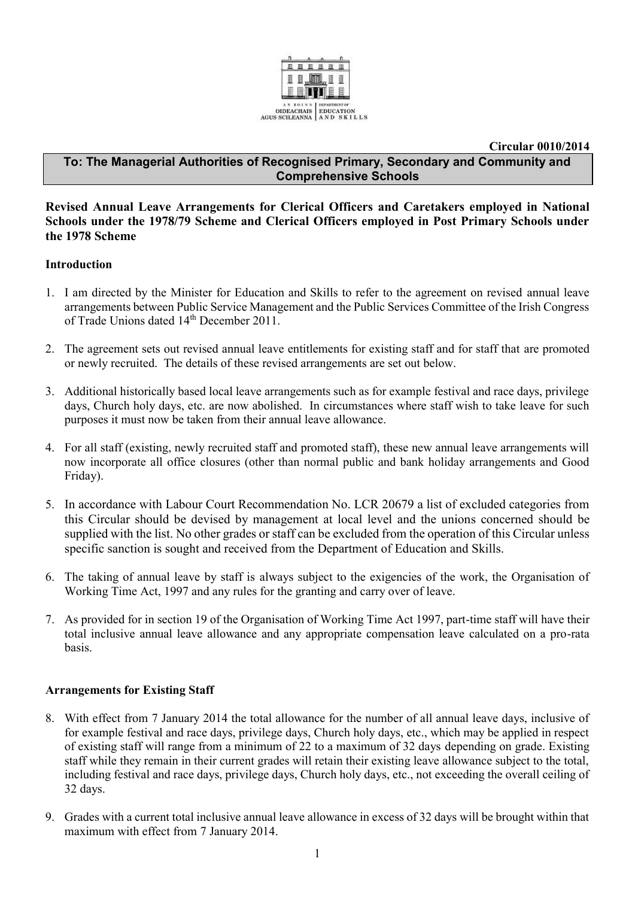

**Circular 0010/2014**

## **To: The Managerial Authorities of Recognised Primary, Secondary and Community and Comprehensive Schools**

### **Revised Annual Leave Arrangements for Clerical Officers and Caretakers employed in National Schools under the 1978/79 Scheme and Clerical Officers employed in Post Primary Schools under the 1978 Scheme**

### **Introduction**

- 1. I am directed by the Minister for Education and Skills to refer to the agreement on revised annual leave arrangements between Public Service Management and the Public Services Committee of the Irish Congress of Trade Unions dated 14<sup>th</sup> December 2011.
- 2. The agreement sets out revised annual leave entitlements for existing staff and for staff that are promoted or newly recruited. The details of these revised arrangements are set out below.
- 3. Additional historically based local leave arrangements such as for example festival and race days, privilege days, Church holy days, etc. are now abolished. In circumstances where staff wish to take leave for such purposes it must now be taken from their annual leave allowance.
- 4. For all staff (existing, newly recruited staff and promoted staff), these new annual leave arrangements will now incorporate all office closures (other than normal public and bank holiday arrangements and Good Friday).
- 5. In accordance with Labour Court Recommendation No. LCR 20679 a list of excluded categories from this Circular should be devised by management at local level and the unions concerned should be supplied with the list. No other grades or staff can be excluded from the operation of this Circular unless specific sanction is sought and received from the Department of Education and Skills.
- 6. The taking of annual leave by staff is always subject to the exigencies of the work, the Organisation of Working Time Act, 1997 and any rules for the granting and carry over of leave.
- 7. As provided for in section 19 of the Organisation of Working Time Act 1997, part-time staff will have their total inclusive annual leave allowance and any appropriate compensation leave calculated on a pro-rata basis.

### **Arrangements for Existing Staff**

- 8. With effect from 7 January 2014 the total allowance for the number of all annual leave days, inclusive of for example festival and race days, privilege days, Church holy days, etc., which may be applied in respect of existing staff will range from a minimum of 22 to a maximum of 32 days depending on grade. Existing staff while they remain in their current grades will retain their existing leave allowance subject to the total, including festival and race days, privilege days, Church holy days, etc., not exceeding the overall ceiling of 32 days.
- 9. Grades with a current total inclusive annual leave allowance in excess of 32 days will be brought within that maximum with effect from 7 January 2014.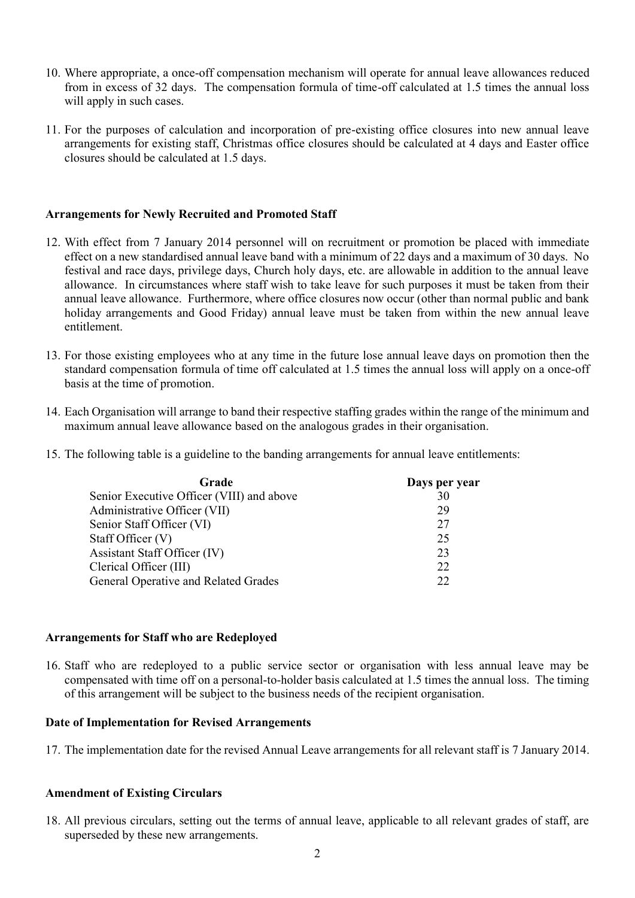- 10. Where appropriate, a once-off compensation mechanism will operate for annual leave allowances reduced from in excess of 32 days. The compensation formula of time-off calculated at 1.5 times the annual loss will apply in such cases.
- 11. For the purposes of calculation and incorporation of pre-existing office closures into new annual leave arrangements for existing staff, Christmas office closures should be calculated at 4 days and Easter office closures should be calculated at 1.5 days.

### **Arrangements for Newly Recruited and Promoted Staff**

- 12. With effect from 7 January 2014 personnel will on recruitment or promotion be placed with immediate effect on a new standardised annual leave band with a minimum of 22 days and a maximum of 30 days. No festival and race days, privilege days, Church holy days, etc. are allowable in addition to the annual leave allowance. In circumstances where staff wish to take leave for such purposes it must be taken from their annual leave allowance. Furthermore, where office closures now occur (other than normal public and bank holiday arrangements and Good Friday) annual leave must be taken from within the new annual leave entitlement.
- 13. For those existing employees who at any time in the future lose annual leave days on promotion then the standard compensation formula of time off calculated at 1.5 times the annual loss will apply on a once-off basis at the time of promotion.
- 14. Each Organisation will arrange to band their respective staffing grades within the range of the minimum and maximum annual leave allowance based on the analogous grades in their organisation.
- 15. The following table is a guideline to the banding arrangements for annual leave entitlements:

| Days per year |
|---------------|
| 30            |
| 29            |
| 27            |
| 25            |
| 23            |
| 22            |
| 22            |
|               |

### **Arrangements for Staff who are Redeployed**

16. Staff who are redeployed to a public service sector or organisation with less annual leave may be compensated with time off on a personal-to-holder basis calculated at 1.5 times the annual loss. The timing of this arrangement will be subject to the business needs of the recipient organisation.

### **Date of Implementation for Revised Arrangements**

17. The implementation date for the revised Annual Leave arrangements for all relevant staff is 7 January 2014.

### **Amendment of Existing Circulars**

18. All previous circulars, setting out the terms of annual leave, applicable to all relevant grades of staff, are superseded by these new arrangements.